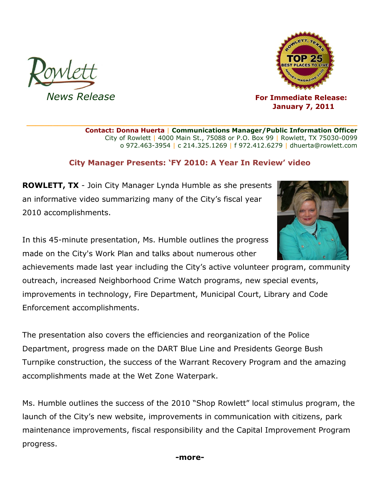



*News Release CON CON CON CON For Immediate Release: CON*  **January 7, 2011**

> **Contact: Donna Huerta** | **Communications Manager/Public Information Officer** City of Rowlett | 4000 Main St., 75088 or P.O. Box 99 | Rowlett, TX 75030-0099 o 972.463-3954 | c 214.325.1269 | f 972.412.6279 | dhuerta@rowlett.com

## **City Manager Presents: 'FY 2010: A Year In Review' video**

**\_\_\_\_\_\_\_\_\_\_\_\_\_\_\_\_\_\_\_\_\_\_\_\_\_\_\_\_\_\_\_\_\_\_\_\_\_\_\_\_\_\_\_\_\_\_\_\_\_\_\_\_\_\_\_\_\_\_\_\_\_\_\_\_\_\_\_\_\_\_\_\_\_\_\_**

**ROWLETT, TX** - Join City Manager Lynda Humble as she presents an informative video summarizing many of the City's fiscal year 2010 accomplishments.

In this 45-minute presentation, Ms. Humble outlines the progress made on the City's Work Plan and talks about numerous other

achievements made last year including the City's active volunteer program, community outreach, increased Neighborhood Crime Watch programs, new special events, improvements in technology, Fire Department, Municipal Court, Library and Code Enforcement accomplishments.

The presentation also covers the efficiencies and reorganization of the Police Department, progress made on the DART Blue Line and Presidents George Bush Turnpike construction, the success of the Warrant Recovery Program and the amazing accomplishments made at the Wet Zone Waterpark.

Ms. Humble outlines the success of the 2010 "Shop Rowlett" local stimulus program, the launch of the City's new website, improvements in communication with citizens, park maintenance improvements, fiscal responsibility and the Capital Improvement Program progress.